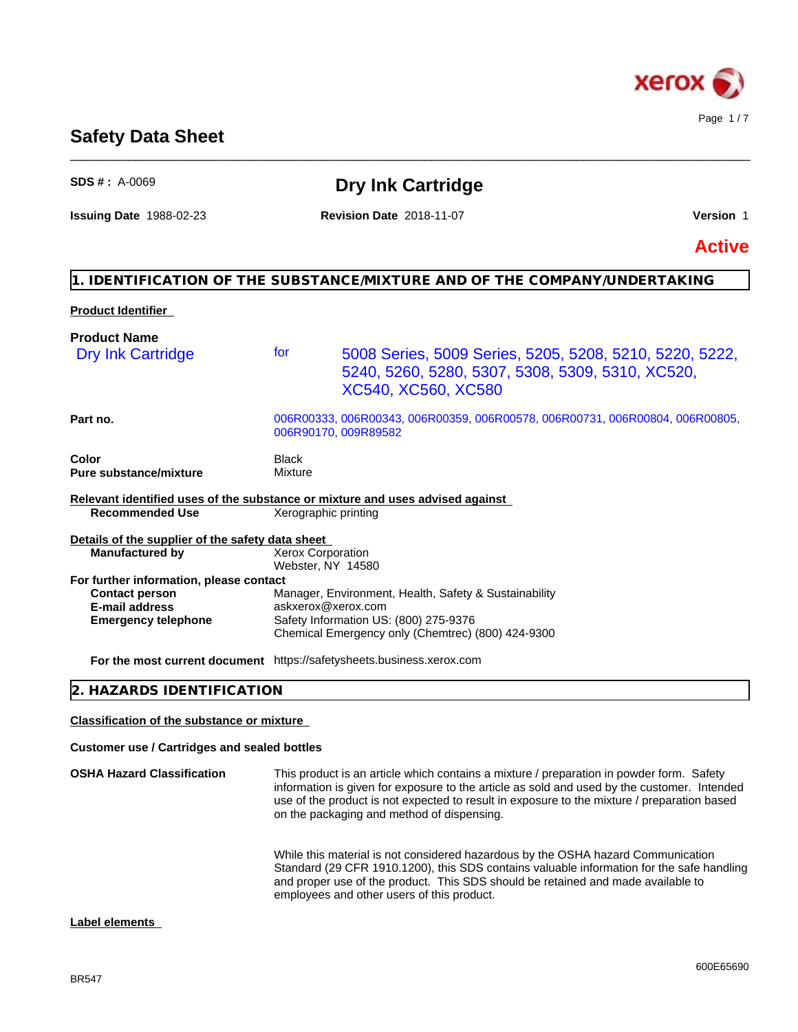

# **Safety Data Sheet**

| $SDS # : A-0069$                                                              |                                               | <b>Dry Ink Cartridge</b>                                                                                                                                                                                                                                                                                                             |               |
|-------------------------------------------------------------------------------|-----------------------------------------------|--------------------------------------------------------------------------------------------------------------------------------------------------------------------------------------------------------------------------------------------------------------------------------------------------------------------------------------|---------------|
| <b>Issuing Date 1988-02-23</b>                                                |                                               | <b>Revision Date 2018-11-07</b>                                                                                                                                                                                                                                                                                                      | Version 1     |
|                                                                               |                                               |                                                                                                                                                                                                                                                                                                                                      | <b>Active</b> |
|                                                                               |                                               | 1. IDENTIFICATION OF THE SUBSTANCE/MIXTURE AND OF THE COMPANY/UNDERTAKING                                                                                                                                                                                                                                                            |               |
| <b>Product Identifier</b>                                                     |                                               |                                                                                                                                                                                                                                                                                                                                      |               |
| <b>Product Name</b>                                                           |                                               |                                                                                                                                                                                                                                                                                                                                      |               |
| <b>Dry Ink Cartridge</b>                                                      | for                                           | 5008 Series, 5009 Series, 5205, 5208, 5210, 5220, 5222,<br>5240, 5260, 5280, 5307, 5308, 5309, 5310, XC520,<br>XC540, XC560, XC580                                                                                                                                                                                                   |               |
| Part no.                                                                      |                                               | 006R00333, 006R00343, 006R00359, 006R00578, 006R00731, 006R00804, 006R00805,<br>006R90170, 009R89582                                                                                                                                                                                                                                 |               |
| Color<br><b>Pure substance/mixture</b>                                        | Black<br>Mixture                              |                                                                                                                                                                                                                                                                                                                                      |               |
| Relevant identified uses of the substance or mixture and uses advised against |                                               |                                                                                                                                                                                                                                                                                                                                      |               |
| <b>Recommended Use</b>                                                        | Xerographic printing                          |                                                                                                                                                                                                                                                                                                                                      |               |
| Details of the supplier of the safety data sheet                              |                                               |                                                                                                                                                                                                                                                                                                                                      |               |
| <b>Manufactured by</b>                                                        | <b>Xerox Corporation</b><br>Webster, NY 14580 |                                                                                                                                                                                                                                                                                                                                      |               |
| For further information, please contact                                       |                                               |                                                                                                                                                                                                                                                                                                                                      |               |
| <b>Contact person</b>                                                         |                                               | Manager, Environment, Health, Safety & Sustainability                                                                                                                                                                                                                                                                                |               |
| <b>E-mail address</b><br><b>Emergency telephone</b>                           | askxerox@xerox.com                            | Safety Information US: (800) 275-9376                                                                                                                                                                                                                                                                                                |               |
|                                                                               |                                               | Chemical Emergency only (Chemtrec) (800) 424-9300                                                                                                                                                                                                                                                                                    |               |
| For the most current document https://safetysheets.business.xerox.com         |                                               |                                                                                                                                                                                                                                                                                                                                      |               |
| <b>HAZARDS IDENTIFICATION</b>                                                 |                                               |                                                                                                                                                                                                                                                                                                                                      |               |
| <b>Classification of the substance or mixture</b>                             |                                               |                                                                                                                                                                                                                                                                                                                                      |               |
| <b>Customer use / Cartridges and sealed bottles</b>                           |                                               |                                                                                                                                                                                                                                                                                                                                      |               |
| <b>OSHA Hazard Classification</b>                                             |                                               | This product is an article which contains a mixture / preparation in powder form. Safety<br>information is given for exposure to the article as sold and used by the customer. Intended<br>use of the product is not expected to result in exposure to the mixture / preparation based<br>on the packaging and method of dispensing. |               |
|                                                                               |                                               | While this material is not considered hazardous by the OSHA hazard Communication<br>Standard (29 CFR 1910.1200), this SDS contains valuable information for the safe handling<br>and proper use of the product. This SDS should be retained and made available to<br>employees and other users of this product.                      |               |

\_\_\_\_\_\_\_\_\_\_\_\_\_\_\_\_\_\_\_\_\_\_\_\_\_\_\_\_\_\_\_\_\_\_\_\_\_\_\_\_\_\_\_\_\_\_\_\_\_\_\_\_\_\_\_\_\_\_\_\_\_\_\_\_\_\_\_\_\_\_\_\_\_\_\_\_\_\_\_\_\_\_\_\_\_\_\_\_\_\_\_\_\_\_

# **Label elements**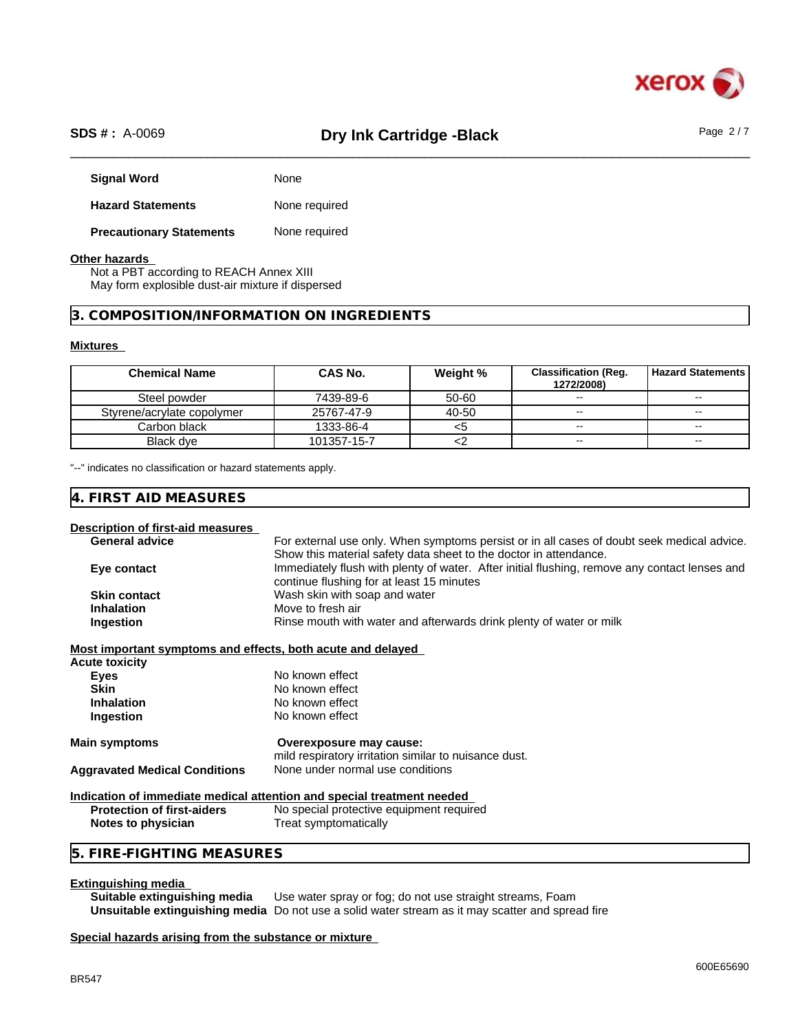

# \_\_\_\_\_\_\_\_\_\_\_\_\_\_\_\_\_\_\_\_\_\_\_\_\_\_\_\_\_\_\_\_\_\_\_\_\_\_\_\_\_\_\_\_\_\_\_\_\_\_\_\_\_\_\_\_\_\_\_\_\_\_\_\_\_\_\_\_\_\_\_\_\_\_\_\_\_\_\_\_\_\_\_\_\_\_\_\_\_\_\_\_\_\_ **SDS # :** A-0069 **Dry Ink Cartridge -Black** Page 2 / 7

| <b>Signal Word</b>              | None          |
|---------------------------------|---------------|
| <b>Hazard Statements</b>        | None required |
| <b>Precautionary Statements</b> | None required |

### **Other hazards**

Not a PBT according to REACH Annex XIII May form explosible dust-air mixture if dispersed

## **3. COMPOSITION/INFORMATION ON INGREDIENTS**

#### **Mixtures**

| <b>Chemical Name</b>       | CAS No.     | Weight % | <b>Classification (Reg.</b><br>1272/2008) | <b>Hazard Statements</b> |
|----------------------------|-------------|----------|-------------------------------------------|--------------------------|
| Steel powder               | 7439-89-6   | 50-60    | $\sim$                                    | $\sim$ $\sim$            |
| Styrene/acrylate copolymer | 25767-47-9  | 40-50    | $\sim$                                    | $\overline{\phantom{a}}$ |
| Carbon black               | 1333-86-4   |          | $\overline{\phantom{a}}$                  | $\sim$                   |
| Black dve                  | 101357-15-7 |          | $\overline{\phantom{a}}$                  | $\overline{\phantom{a}}$ |

"--" indicates no classification or hazard statements apply.

# **4. FIRST AID MEASURES**

#### **Description of first-aid measures**

| For external use only. When symptoms persist or in all cases of doubt seek medical advice.    |
|-----------------------------------------------------------------------------------------------|
| Show this material safety data sheet to the doctor in attendance.                             |
| Immediately flush with plenty of water. After initial flushing, remove any contact lenses and |
| continue flushing for at least 15 minutes                                                     |
| Wash skin with soap and water                                                                 |
| Move to fresh air                                                                             |
| Rinse mouth with water and afterwards drink plenty of water or milk                           |
|                                                                                               |

#### **Most important symptoms and effects, both acute and delayed**

| Acute toxicity                       |                                                                        |
|--------------------------------------|------------------------------------------------------------------------|
| Eyes                                 | No known effect                                                        |
| <b>Skin</b>                          | No known effect                                                        |
| <b>Inhalation</b>                    | No known effect                                                        |
| Ingestion                            | No known effect                                                        |
| Main symptoms                        | Overexposure may cause:                                                |
|                                      | mild respiratory irritation similar to nuisance dust.                  |
| <b>Aggravated Medical Conditions</b> | None under normal use conditions                                       |
|                                      | Indication of immediate medical attention and special treatment needed |
|                                      | $\blacksquare$                                                         |

| <b>Protection of first-aiders</b> | No special protective equipment required |
|-----------------------------------|------------------------------------------|
| Notes to physician                | Treat symptomatically                    |

# **5. FIRE-FIGHTING MEASURES**

#### **Extinguishing media**

**Suitable extinguishing media** Use water spray or fog; do not use straight streams, Foam **Unsuitable extinguishing media** Do not use a solid water stream as it may scatterand spread fire

#### **Special hazards arising from the substance or mixture**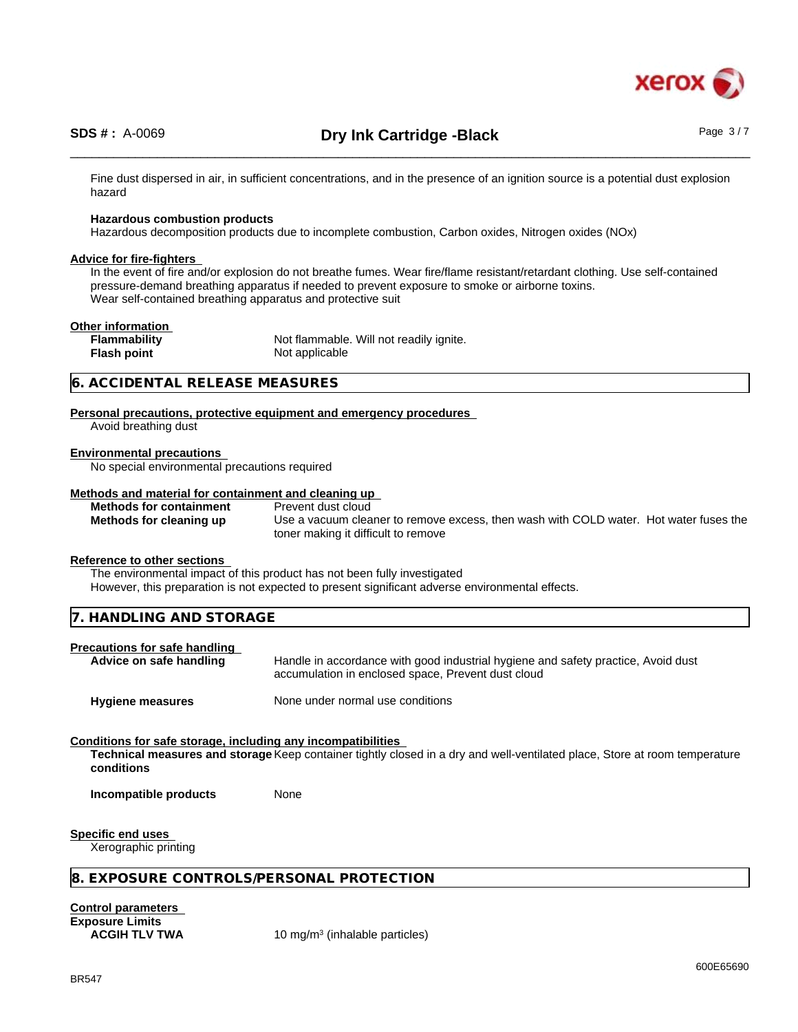

Fine dust dispersed in air, in sufficient concentrations, and in the presence of an ignition source is a potential dust explosion hazard

#### **Hazardous combustion products**

Hazardous decomposition products due to incomplete combustion, Carbon oxides, Nitrogen oxides (NOx)

#### **Advice for fire-fighters**

In the event of fire and/or explosion do not breathe fumes. Wear fire/flame resistant/retardant clothing. Use self-contained pressure-demand breathing apparatus if needed to prevent exposure to smoke or airborne toxins. Wear self-contained breathing apparatus and protective suit

#### **Other information**

**Flammability** Not flammable. Will not readily ignite. **Flash point** Not applicable

# **6. ACCIDENTAL RELEASE MEASURES**

**Personal precautions, protective equipment and emergency procedures** Avoid breathing dust

#### **Environmental precautions**

No special environmental precautions required

## **Methods and material for containment and cleaning up**

**Methods for containment** Prevent dust cloud

**Methods for cleaning up** Use a vacuum cleaner to remove excess, then wash with COLD water. Hot water fuses the toner making it difficult to remove

#### **Reference to other sections**

The environmental impact of this product has not been fully investigated

However, this preparation is not expected to present significant adverse environmental effects.

|--|

#### **Precautions for safe handling**

Advice on safe handling **Handle** in accordance with good industrial hygiene and safety practice, Avoid dust accumulation in enclosed space, Prevent dust cloud

**Hygiene measures** None under normal use conditions

# **Conditions for safe storage, including any incompatibilities**

**Technical measures and storage** Keep container tightly closed in a dry and well-ventilated place, Store at room temperature **conditions**

**Incompatible products** None

#### **Specific end uses**

Xerographic printing

# **8. EXPOSURE CONTROLS/PERSONAL PROTECTION**

**Control parameters Exposure Limits**

**ACGIH TLV TWA** 10 mg/m<sup>3</sup> (inhalable particles)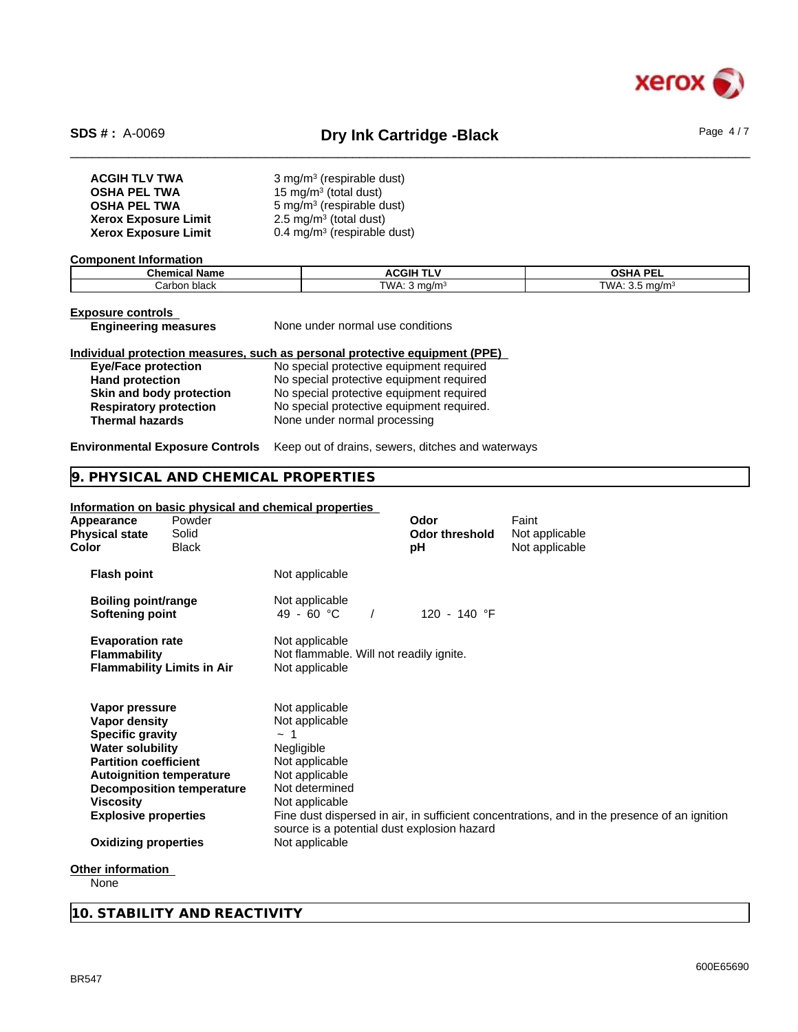

# \_\_\_\_\_\_\_\_\_\_\_\_\_\_\_\_\_\_\_\_\_\_\_\_\_\_\_\_\_\_\_\_\_\_\_\_\_\_\_\_\_\_\_\_\_\_\_\_\_\_\_\_\_\_\_\_\_\_\_\_\_\_\_\_\_\_\_\_\_\_\_\_\_\_\_\_\_\_\_\_\_\_\_\_\_\_\_\_\_\_\_\_\_\_ **SDS # :** A-0069 **Dry Ink Cartridge -Black** Page 4 / 7

| <b>ACGIH TLV TWA</b>        | $3$ mg/m <sup>3</sup> (respirable dust) |
|-----------------------------|-----------------------------------------|
| <b>OSHA PEL TWA</b>         | 15 mg/m <sup>3</sup> (total dust)       |
| <b>OSHA PEL TWA</b>         | 5 mg/m <sup>3</sup> (respirable dust)   |
| <b>Xerox Exposure Limit</b> | $2.5 \text{ mg/m}^3$ (total dust)       |
| <b>Xerox Exposure Limit</b> | 0.4 mg/m <sup>3</sup> (respirable dust) |

**Component Information**

| Chem<br>∵Name<br>линсан. | .GII<br>--    | <b>DEI</b><br>∩∼⊔∧<br>JЭ |
|--------------------------|---------------|--------------------------|
| hinn<br>Carbor<br>uldür  | TWA .<br>ma/m | TWA<br>$\sim$            |

**Exposure controls**

**Engineering measures** None under normal use conditions

## **Individual protection measures, such as personal protective equipment (PPE)**

| <b>Eye/Face protection</b>    | No special protective equipment required  |
|-------------------------------|-------------------------------------------|
| <b>Hand protection</b>        | No special protective equipment required  |
| Skin and body protection      | No special protective equipment required  |
| <b>Respiratory protection</b> | No special protective equipment required. |
| <b>Thermal hazards</b>        | None under normal processing              |

**Environmental Exposure Controls** Keep out of drains, sewers, ditches and waterways

# **9. PHYSICAL AND CHEMICAL PROPERTIES**

### **Information on basic physical and chemical properties**

| Appearance<br><b>Physical state</b><br>Color                                                                                                                                                     | Powder<br>Solid<br><b>Black</b>                                     |                                                                                                                                                                                                     | Odor<br><b>Odor threshold</b><br>рH | Faint<br>Not applicable<br>Not applicable                                                    |
|--------------------------------------------------------------------------------------------------------------------------------------------------------------------------------------------------|---------------------------------------------------------------------|-----------------------------------------------------------------------------------------------------------------------------------------------------------------------------------------------------|-------------------------------------|----------------------------------------------------------------------------------------------|
| <b>Flash point</b>                                                                                                                                                                               |                                                                     | Not applicable                                                                                                                                                                                      |                                     |                                                                                              |
| <b>Boiling point/range</b><br><b>Softening point</b>                                                                                                                                             |                                                                     | Not applicable<br>49 - 60 °C                                                                                                                                                                        | 120 - 140 °F                        |                                                                                              |
| <b>Evaporation rate</b><br><b>Flammability</b>                                                                                                                                                   | <b>Flammability Limits in Air</b>                                   | Not applicable<br>Not flammable. Will not readily ignite.<br>Not applicable                                                                                                                         |                                     |                                                                                              |
| Vapor pressure<br>Vapor density<br><b>Specific gravity</b><br><b>Water solubility</b><br><b>Partition coefficient</b><br>Viscosity<br><b>Explosive properties</b><br><b>Oxidizing properties</b> | <b>Autoignition temperature</b><br><b>Decomposition temperature</b> | Not applicable<br>Not applicable<br>$\sim$ 1<br>Negligible<br>Not applicable<br>Not applicable<br>Not determined<br>Not applicable<br>source is a potential dust explosion hazard<br>Not applicable |                                     | Fine dust dispersed in air, in sufficient concentrations, and in the presence of an ignition |
| Other information<br>None ا                                                                                                                                                                      |                                                                     |                                                                                                                                                                                                     |                                     |                                                                                              |
|                                                                                                                                                                                                  |                                                                     |                                                                                                                                                                                                     |                                     |                                                                                              |

None

**10. STABILITY AND REACTIVITY**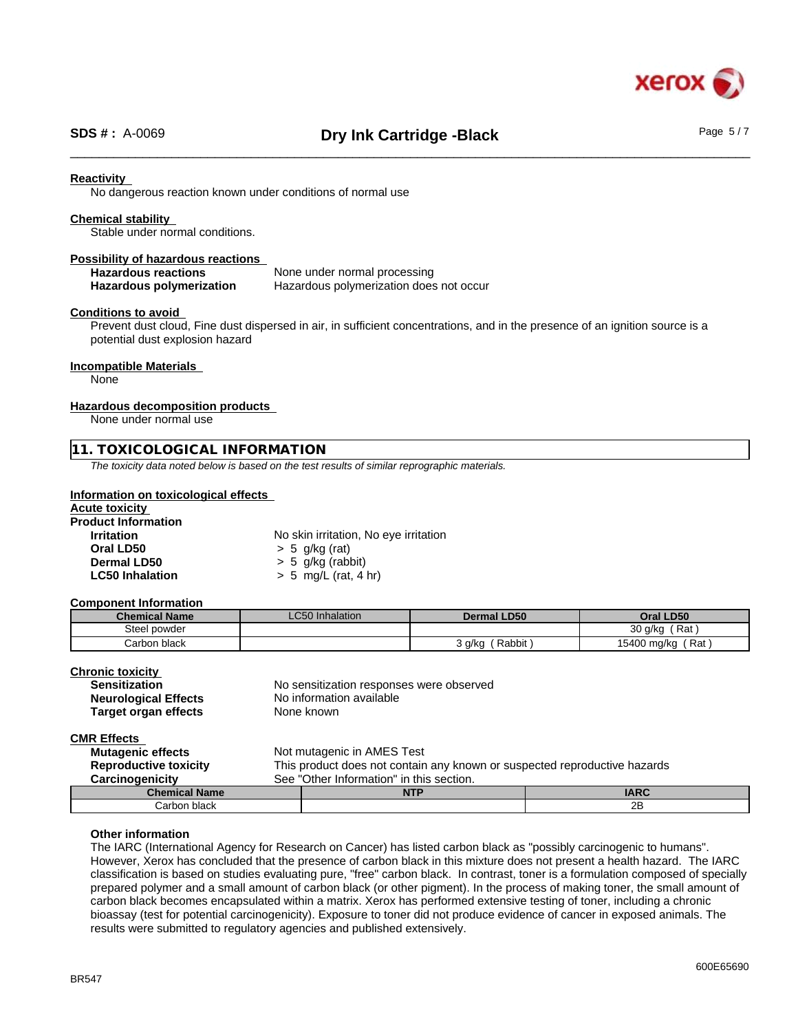

# \_\_\_\_\_\_\_\_\_\_\_\_\_\_\_\_\_\_\_\_\_\_\_\_\_\_\_\_\_\_\_\_\_\_\_\_\_\_\_\_\_\_\_\_\_\_\_\_\_\_\_\_\_\_\_\_\_\_\_\_\_\_\_\_\_\_\_\_\_\_\_\_\_\_\_\_\_\_\_\_\_\_\_\_\_\_\_\_\_\_\_\_\_\_ **SDS # :** A-0069 **Dry Ink Cartridge -Black** Page 5 / 7

#### **Reactivity**

No dangerous reaction known under conditions of normal use

#### **Chemical stability**

Stable under normal conditions.

## **Possibility of hazardous reactions**

**Hazardous reactions**<br> **Hazardous polymerization Hazardous polymerization does Hazardous polymerization does not occur** 

#### **Conditions to avoid**

Prevent dust cloud, Fine dust dispersed in air, in sufficient concentrations, and in the presence of an ignition source is a potential dust explosion hazard

#### **Incompatible Materials**

None

#### **Hazardous decomposition products**

None under normal use

#### **11. TOXICOLOGICAL INFORMATION**

*The toxicity data noted below is based on the test results of similar reprographic materials.*

#### **Information on toxicological effects**

# **Acute toxicity**

**Product Information**

**Irritation** No skin irritation, No eye irritation **Oral LD50**  $\rightarrow$  5 g/kg (rat)<br>**Dermal LD50**  $\rightarrow$  5 g/kg (rab) **Dermal LD50** > 5 g/kg (rabbit) **LC50 Inhalation** > 5 mg/L (rat, 4 hr)

#### **Component Information**

| <b>Chemical Name</b> | $\sim$ $\sim$ $\sim$ $\sim$<br><b>LC50</b> Inhalation | <b>Dermal LD50</b> | Oral LD50             |  |
|----------------------|-------------------------------------------------------|--------------------|-----------------------|--|
| Steel powder         |                                                       |                    | 30 g/kg<br>Rat<br>. . |  |
| Carbon black         |                                                       | Rabbit<br>3 a/ka   | Rat<br>15400 mg/kg    |  |

| <b>Chronic toxicity</b>     |                                          |
|-----------------------------|------------------------------------------|
| <b>Sensitization</b>        | No sensitization responses were observed |
| <b>Neurological Effects</b> | No information available                 |
| Target organ effects        | None known                               |
| CMD Effoote                 |                                          |

#### **CMR Effects**

| <b>Mutagenic effects</b><br><b>Reproductive toxicity</b> | Not mutagenic in AMES Test<br>This product does not contain any known or suspected reproductive hazards |             |  |
|----------------------------------------------------------|---------------------------------------------------------------------------------------------------------|-------------|--|
| <b>Carcinogenicity</b>                                   | See "Other Information" in this section.                                                                |             |  |
| <b>Chemical Name</b>                                     | <b>NTP</b>                                                                                              | <b>IARC</b> |  |
| Carbon black                                             |                                                                                                         | 2B          |  |

#### **Other information**

The IARC (International Agency for Research on Cancer) has listed carbon black as "possibly carcinogenic to humans". However, Xerox has concluded that the presence of carbon black in this mixture does not present a health hazard. The IARC classification is based on studies evaluating pure, "free" carbon black. In contrast, toner is a formulation composed of specially prepared polymer and a small amount of carbon black (or other pigment). In the process of making toner, the small amount of carbon black becomes encapsulated within a matrix. Xerox has performed extensive testing of toner, including a chronic bioassay (test for potential carcinogenicity). Exposure to toner did not produce evidence of cancer in exposed animals. The results were submitted to regulatory agencies and published extensively.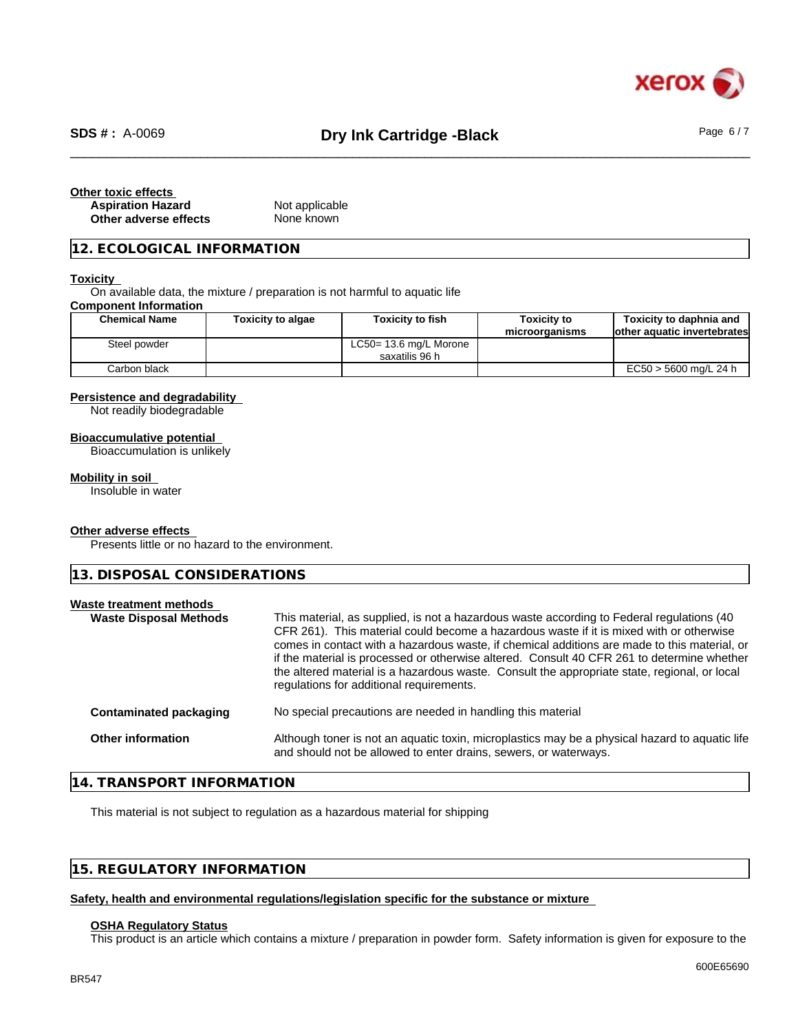

# \_\_\_\_\_\_\_\_\_\_\_\_\_\_\_\_\_\_\_\_\_\_\_\_\_\_\_\_\_\_\_\_\_\_\_\_\_\_\_\_\_\_\_\_\_\_\_\_\_\_\_\_\_\_\_\_\_\_\_\_\_\_\_\_\_\_\_\_\_\_\_\_\_\_\_\_\_\_\_\_\_\_\_\_\_\_\_\_\_\_\_\_\_\_ **SDS # :** A-0069 **Dry Ink Cartridge -Black** Page 6 / 7

| Other toxic effects      |                |  |
|--------------------------|----------------|--|
| <b>Aspiration Hazard</b> | Not applicable |  |
| Other adverse effects    | None known     |  |

## **12. ECOLOGICAL INFORMATION**

#### **Toxicity**

On available data, the mixture / preparation is not harmful to aquatic life

#### **Component Information**

| <b>Chemical Name</b> | <b>Toxicity to algae</b> | <b>Toxicity to fish</b>                  | <b>Toxicity to</b><br>microorganisms | Toxicity to daphnia and<br>lother aquatic invertebrates |
|----------------------|--------------------------|------------------------------------------|--------------------------------------|---------------------------------------------------------|
| Steel powder         |                          | LC50= 13.6 mg/L Morone<br>saxatilis 96 h |                                      |                                                         |
| Carbon black         |                          |                                          |                                      | EC50 > 5600 mg/L 24 h                                   |

#### **Persistence and degradability**

Not readily biodegradable

#### **Bioaccumulative potential**

Bioaccumulation is unlikely

#### **Mobility in soil**

Insoluble in water

#### **Other adverse effects**

Presents little or no hazard to the environment.

**13. DISPOSAL CONSIDERATIONS**

| Waste treatment methods<br><b>Waste Disposal Methods</b> |                               | This material, as supplied, is not a hazardous waste according to Federal regulations (40<br>CFR 261). This material could become a hazardous waste if it is mixed with or otherwise<br>comes in contact with a hazardous waste, if chemical additions are made to this material, or<br>if the material is processed or otherwise altered. Consult 40 CFR 261 to determine whether<br>the altered material is a hazardous waste. Consult the appropriate state, regional, or local<br>regulations for additional requirements. |  |
|----------------------------------------------------------|-------------------------------|--------------------------------------------------------------------------------------------------------------------------------------------------------------------------------------------------------------------------------------------------------------------------------------------------------------------------------------------------------------------------------------------------------------------------------------------------------------------------------------------------------------------------------|--|
|                                                          | <b>Contaminated packaging</b> | No special precautions are needed in handling this material                                                                                                                                                                                                                                                                                                                                                                                                                                                                    |  |
|                                                          | <b>Other information</b>      | Although toner is not an aquatic toxin, microplastics may be a physical hazard to aquatic life<br>and should not be allowed to enter drains, sewers, or waterways.                                                                                                                                                                                                                                                                                                                                                             |  |
|                                                          |                               |                                                                                                                                                                                                                                                                                                                                                                                                                                                                                                                                |  |

# **14. TRANSPORT INFORMATION**

This material is not subject to regulation as a hazardous material for shipping

# **15. REGULATORY INFORMATION**

#### **Safety, health and environmental regulations/legislation specific for the substance or mixture**

#### **OSHA Regulatory Status**

This product is an article which contains a mixture / preparation in powder form. Safety information is given for exposure to the